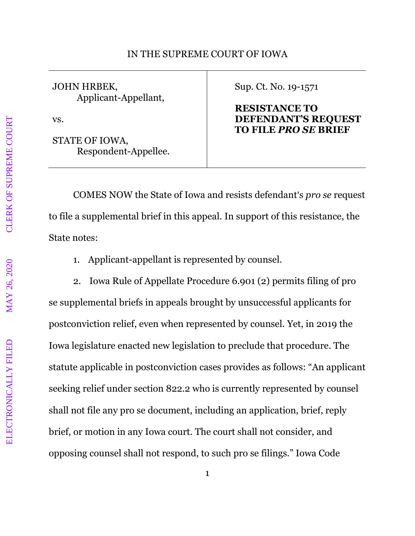JOHN HRBEK, Applicant-Appellant,

vs.

STATE OF IOWA, Respondent-Appellee. Sup. Ct. No. 19-1571

## **RESISTANCE TO DEFENDANT'S REQUEST TO FILE** *PRO SE* **BRIEF**

COMES NOW the State of Iowa and resists defendant's *pro se* request to file a supplemental brief in this appeal. In support of this resistance, the State notes:

1. Applicant-appellant is represented by counsel.

2. Iowa Rule of Appellate Procedure 6.901 (2) permits filing of pro se supplemental briefs in appeals brought by unsuccessful applicants for postconviction relief, even when represented by counsel. Yet, in 2019 the Iowa legislature enacted new legislation to preclude that procedure. The statute applicable in postconviction cases provides as follows: "An applicant seeking relief under section 822.2 who is currently represented by counsel shall not file any pro se document, including an application, brief, reply brief, or motion in any Iowa court. The court shall not consider, and opposing counsel shall not respond, to such pro se filings." Iowa Code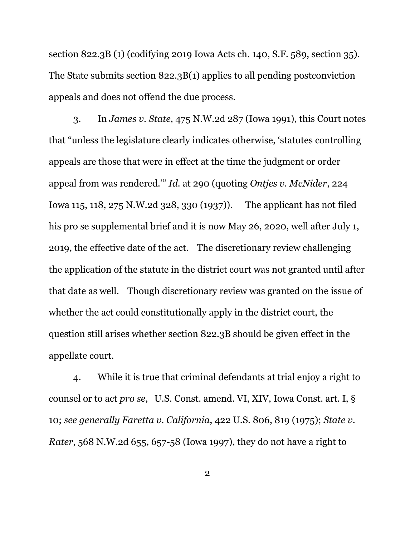section 822.3B (1) (codifying 2019 Iowa Acts ch. 140, S.F. 589, section 35). The State submits section 822.3B(1) applies to all pending postconviction appeals and does not offend the due process.

3. In *James v. State*, 475 N.W.2d 287 (Iowa 1991), this Court notes that "unless the legislature clearly indicates otherwise, 'statutes controlling appeals are those that were in effect at the time the judgment or order appeal from was rendered.'" *Id.* at 290 (quoting *Ontjes v. McNider*, 224 Iowa 115, 118, 275 N.W.2d 328, 330 (1937)). The applicant has not filed his pro se supplemental brief and it is now May 26, 2020, well after July 1, 2019, the effective date of the act. The discretionary review challenging the application of the statute in the district court was not granted until after that date as well. Though discretionary review was granted on the issue of whether the act could constitutionally apply in the district court, the question still arises whether section 822.3B should be given effect in the appellate court.

4. While it is true that criminal defendants at trial enjoy a right to counsel or to act *pro se*, U.S. Const. amend. VI, XIV, Iowa Const. art. I, § 10; *see generally Faretta v. California*, 422 U.S. 806, 819 (1975); *State v. Rater*, 568 N.W.2d 655, 657-58 (Iowa 1997), they do not have a right to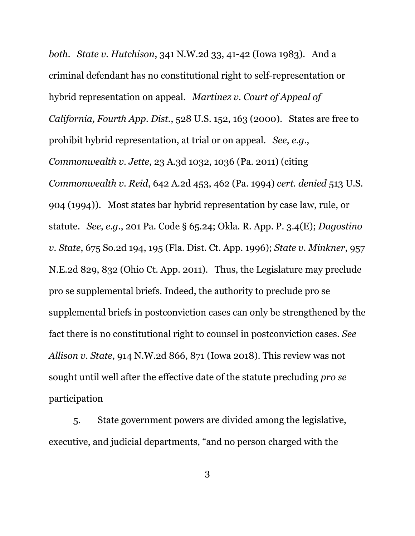*both*. *State v. Hutchison*, 341 N.W.2d 33, 41-42 (Iowa 1983). And a criminal defendant has no constitutional right to self-representation or hybrid representation on appeal. *Martinez v. Court of Appeal of California, Fourth App. Dist.*, 528 U.S. 152, 163 (2000). States are free to prohibit hybrid representation, at trial or on appeal. *See*, *e.g.*, *Commonwealth v. Jette*, 23 A.3d 1032, 1036 (Pa. 2011) (citing *Commonwealth v. Reid*, 642 A.2d 453, 462 (Pa. 1994) *cert. denied* 513 U.S. 904 (1994)). Most states bar hybrid representation by case law, rule, or statute. *See*, *e.g.*, 201 Pa. Code § 65.24; Okla. R. App. P. 3.4(E); *Dagostino v. State*, 675 So.2d 194, 195 (Fla. Dist. Ct. App. 1996); *State v. Minkner*, 957 N.E.2d 829, 832 (Ohio Ct. App. 2011). Thus, the Legislature may preclude pro se supplemental briefs. Indeed, the authority to preclude pro se supplemental briefs in postconviction cases can only be strengthened by the fact there is no constitutional right to counsel in postconviction cases. *See Allison v. State*, 914 N.W.2d 866, 871 (Iowa 2018). This review was not sought until well after the effective date of the statute precluding *pro se*  participation

5. State government powers are divided among the legislative, executive, and judicial departments, "and no person charged with the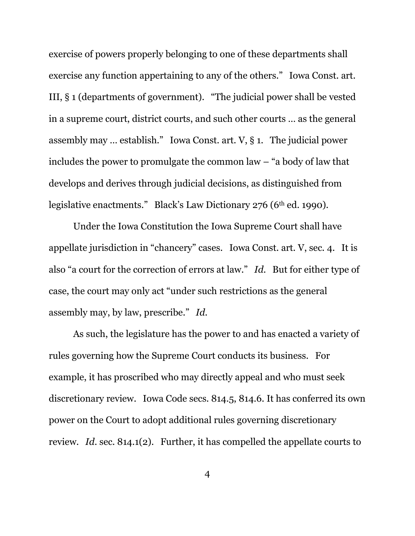exercise of powers properly belonging to one of these departments shall exercise any function appertaining to any of the others." Iowa Const. art. III, § 1 (departments of government). "The judicial power shall be vested in a supreme court, district courts, and such other courts … as the general assembly may … establish." Iowa Const. art. V, § 1. The judicial power includes the power to promulgate the common law – "a body of law that develops and derives through judicial decisions, as distinguished from legislative enactments." Black's Law Dictionary 276 (6<sup>th</sup> ed. 1990).

Under the Iowa Constitution the Iowa Supreme Court shall have appellate jurisdiction in "chancery" cases. Iowa Const. art. V, sec. 4. It is also "a court for the correction of errors at law." *Id*. But for either type of case, the court may only act "under such restrictions as the general assembly may, by law, prescribe." *Id*.

As such, the legislature has the power to and has enacted a variety of rules governing how the Supreme Court conducts its business. For example, it has proscribed who may directly appeal and who must seek discretionary review. Iowa Code secs. 814.5, 814.6. It has conferred its own power on the Court to adopt additional rules governing discretionary review. *Id*. sec. 814.1(2). Further, it has compelled the appellate courts to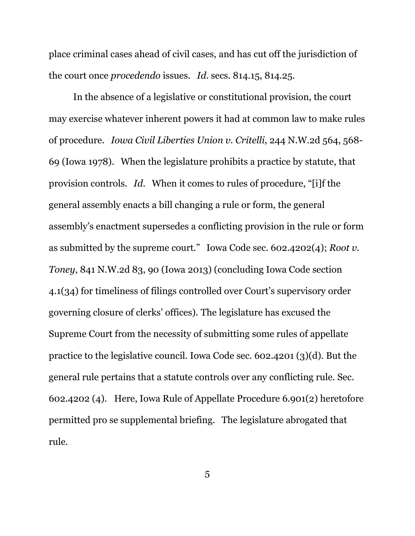place criminal cases ahead of civil cases, and has cut off the jurisdiction of the court once *procedendo* issues. *Id*. secs. 814.15, 814.25.

In the absence of a legislative or constitutional provision, the court may exercise whatever inherent powers it had at common law to make rules of procedure. *Iowa Civil Liberties Union v. Critelli*, 244 N.W.2d 564, 568- 69 (Iowa 1978). When the legislature prohibits a practice by statute, that provision controls. *Id*. When it comes to rules of procedure, "[i]f the general assembly enacts a bill changing a rule or form, the general assembly's enactment supersedes a conflicting provision in the rule or form as submitted by the supreme court." Iowa Code sec. 602.4202(4); *Root v. Toney*, 841 N.W.2d 83, 90 (Iowa 2013) (concluding Iowa Code section 4.1(34) for timeliness of filings controlled over Court's supervisory order governing closure of clerks' offices). The legislature has excused the Supreme Court from the necessity of submitting some rules of appellate practice to the legislative council. Iowa Code sec. 602.4201 (3)(d). But the general rule pertains that a statute controls over any conflicting rule. Sec. 602.4202 (4). Here, Iowa Rule of Appellate Procedure 6.901(2) heretofore permitted pro se supplemental briefing. The legislature abrogated that rule.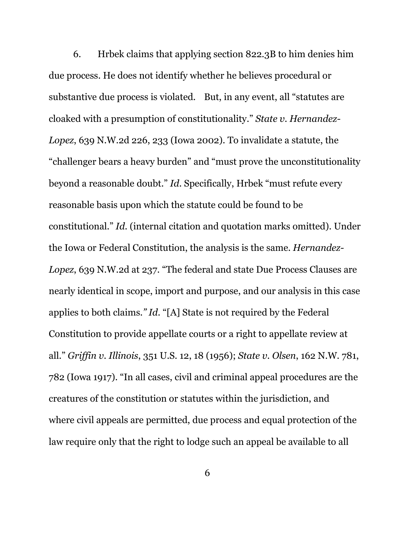6. Hrbek claims that applying section 822.3B to him denies him due process. He does not identify whether he believes procedural or substantive due process is violated. But, in any event, all "statutes are cloaked with a presumption of constitutionality." *State v. Hernandez-Lopez*, 639 N.W.2d 226, 233 (Iowa 2002). To invalidate a statute, the "challenger bears a heavy burden" and "must prove the unconstitutionality beyond a reasonable doubt." *Id.* Specifically, Hrbek "must refute every reasonable basis upon which the statute could be found to be constitutional." *Id.* (internal citation and quotation marks omitted). Under the Iowa or Federal Constitution, the analysis is the same. *Hernandez-Lopez*, 639 N.W.2d at 237. "The federal and state Due Process Clauses are nearly identical in scope, import and purpose, and our analysis in this case applies to both claims*." Id*. "[A] State is not required by the Federal Constitution to provide appellate courts or a right to appellate review at all." *Griffin v. Illinois*, 351 U.S. 12, 18 (1956); *State v. Olsen*, 162 N.W. 781, 782 (Iowa 1917). "In all cases, civil and criminal appeal procedures are the creatures of the constitution or statutes within the jurisdiction, and where civil appeals are permitted, due process and equal protection of the law require only that the right to lodge such an appeal be available to all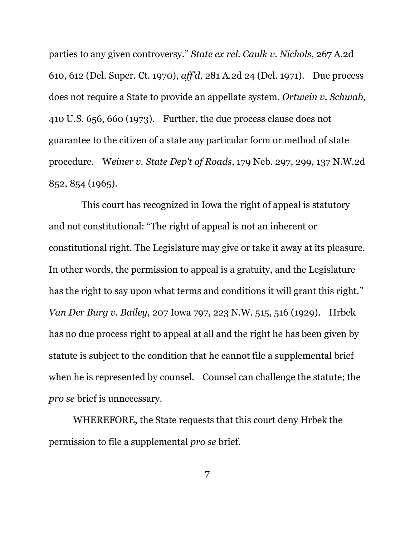parties to any given controversy." *State ex rel. Caulk v. Nichols*, 267 A.2d 610, 612 (Del. Super. Ct. 1970), *aff'd,* 281 A.2d 24 (Del. 1971). Due process does not require a State to provide an appellate system. *Ortwein v. Schwab*, 410 U.S. 656, 660 (1973). Further, the due process clause does not guarantee to the citizen of a state any particular form or method of state procedure. W*einer v. State Dep't of Roads*, 179 Neb. 297, 299, 137 N.W.2d 852, 854 (1965).

 This court has recognized in Iowa the right of appeal is statutory and not constitutional: "The right of appeal is not an inherent or constitutional right. The Legislature may give or take it away at its pleasure. In other words, the permission to appeal is a gratuity, and the Legislature has the right to say upon what terms and conditions it will grant this right." *Van Der Burg v. Bailey*, 207 Iowa 797, 223 N.W. 515, 516 (1929). Hrbek has no due process right to appeal at all and the right he has been given by statute is subject to the condition that he cannot file a supplemental brief when he is represented by counsel. Counsel can challenge the statute; the *pro se* brief is unnecessary.

WHEREFORE, the State requests that this court deny Hrbek the permission to file a supplemental *pro se* brief.